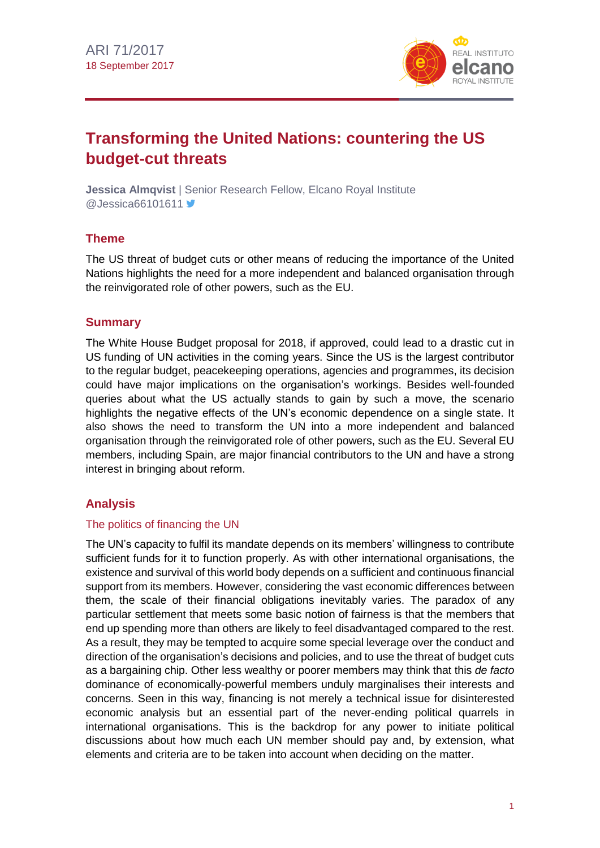

# **Transforming the United Nations: countering the US budget-cut threats**

**Jessica Almqvist** | Senior Research Fellow, Elcano Royal Institute @Jessica66101611

# **Theme**

The US threat of budget cuts or other means of reducing the importance of the United Nations highlights the need for a more independent and balanced organisation through the reinvigorated role of other powers, such as the EU.

# **Summary**

The White House Budget proposal for 2018, if approved, could lead to a drastic cut in US funding of UN activities in the coming years. Since the US is the largest contributor to the regular budget, peacekeeping operations, agencies and programmes, its decision could have major implications on the organisation's workings. Besides well-founded queries about what the US actually stands to gain by such a move, the scenario highlights the negative effects of the UN's economic dependence on a single state. It also shows the need to transform the UN into a more independent and balanced organisation through the reinvigorated role of other powers, such as the EU. Several EU members, including Spain, are major financial contributors to the UN and have a strong interest in bringing about reform.

# **Analysis**

#### The politics of financing the UN

The UN's capacity to fulfil its mandate depends on its members' willingness to contribute sufficient funds for it to function properly. As with other international organisations, the existence and survival of this world body depends on a sufficient and continuous financial support from its members. However, considering the vast economic differences between them, the scale of their financial obligations inevitably varies. The paradox of any particular settlement that meets some basic notion of fairness is that the members that end up spending more than others are likely to feel disadvantaged compared to the rest. As a result, they may be tempted to acquire some special leverage over the conduct and direction of the organisation's decisions and policies, and to use the threat of budget cuts as a bargaining chip. Other less wealthy or poorer members may think that this *de facto* dominance of economically-powerful members unduly marginalises their interests and concerns. Seen in this way, financing is not merely a technical issue for disinterested economic analysis but an essential part of the never-ending political quarrels in international organisations. This is the backdrop for any power to initiate political discussions about how much each UN member should pay and, by extension, what elements and criteria are to be taken into account when deciding on the matter.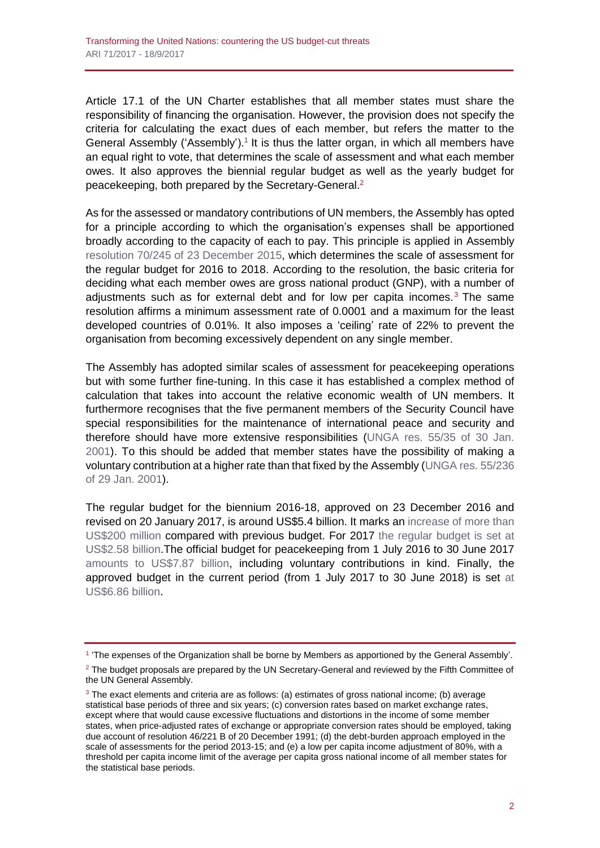Article 17.1 of the UN Charter establishes that all member states must share the responsibility of financing the organisation. However, the provision does not specify the criteria for calculating the exact dues of each member, but refers the matter to the General Assembly ('Assembly').<sup>1</sup> It is thus the latter organ, in which all members have an equal right to vote, that determines the scale of assessment and what each member owes. It also approves the biennial regular budget as well as the yearly budget for peacekeeping, both prepared by the Secretary-General.<sup>2</sup>

As for the assessed or mandatory contributions of UN members, the Assembly has opted for a principle according to which the organisation's expenses shall be apportioned broadly according to the capacity of each to pay. This principle is applied in Assembly [resolution 70/245 of 23 December 2015,](http://www.un.org/ga/search/view_doc.asp?symbol=a/res/70/245&referer=http://www.un.org/en/ga/contributions/budget.shtml&Lang=E) which determines the scale of assessment for the regular budget for 2016 to 2018. According to the resolution, the basic criteria for deciding what each member owes are gross national product (GNP), with a number of adjustments such as for external debt and for low per capita incomes.<sup>3</sup> The same resolution affirms a minimum assessment rate of 0.0001 and a maximum for the least developed countries of 0.01%. It also imposes a 'ceiling' rate of 22% to prevent the organisation from becoming excessively dependent on any single member.

The Assembly has adopted similar scales of assessment for peacekeeping operations but with some further fine-tuning. In this case it has established a complex method of calculation that takes into account the relative economic wealth of UN members. It furthermore recognises that the five permanent members of the Security Council have special responsibilities for the maintenance of international peace and security and therefore should have more extensive responsibilities [\(UNGA res. 55/35 of 30 Jan.](http://www.un.org/en/ga/search/view_doc.asp?symbol=A/RES/55/235)  [2001\)](http://www.un.org/en/ga/search/view_doc.asp?symbol=A/RES/55/235). To this should be added that member states have the possibility of making a voluntary contribution at a higher rate than that fixed by the Assembly [\(UNGA res. 55/236](http://www.un.org/ga/search/view_doc.asp?symbol=A/RES/55/236) [of 29 Jan. 2001\)](http://www.un.org/ga/search/view_doc.asp?symbol=A/RES/55/236).

The regular budget for the biennium 2016-18, approved on 23 December 2016 and revised on 20 January 2017, is around US\$5.4 billion. It marks an [increase of](http://www.un.org/en/ga/search/view_doc.asp?symbol=A/RES/71/273%20A-C) more than [US\\$200 million](http://www.un.org/en/ga/search/view_doc.asp?symbol=A/RES/71/273%20A-C) compared with previous budget. For 2017 [the regular budget](http://www.un.org/ga/search/view_doc.asp?symbol=ST/ADM/SER.B/955&referer=http://www.un.org/en/ga/contributions/budget.shtml&Lang=E) is set at [US\\$2.58 billion.](http://www.un.org/ga/search/view_doc.asp?symbol=ST/ADM/SER.B/955&referer=http://www.un.org/en/ga/contributions/budget.shtml&Lang=E)The official budget for peacekeeping from 1 July 2016 to 30 June 2017 [amounts to US\\$7.87 billion,](http://www.un.org/ga/search/view_doc.asp?symbol=A/C.5/70/24) including voluntary contributions in kind. Finally, the approved budget in the current period (from 1 July 2017 to 30 June 2018) is set [at](http://undocs.org/a/c.5/71/24) [US\\$6.86 billion.](http://undocs.org/a/c.5/71/24)

<sup>1</sup> 'The expenses of the Organization shall be borne by Members as apportioned by the General Assembly'.

 $2$  The budget proposals are prepared by the UN Secretary-General and reviewed by the Fifth Committee of the UN General Assembly.

 $3$  The exact elements and criteria are as follows: (a) estimates of gross national income; (b) average statistical base periods of three and six years; (c) conversion rates based on market exchange rates, except where that would cause excessive fluctuations and distortions in the income of some member states, when price-adjusted rates of exchange or appropriate conversion rates should be employed, taking due account of resolution 46/221 B of 20 December 1991; (d) the debt-burden approach employed in the scale of assessments for the period 2013-15; and (e) a low per capita income adjustment of 80%, with a threshold per capita income limit of the average per capita gross national income of all member states for the statistical base periods.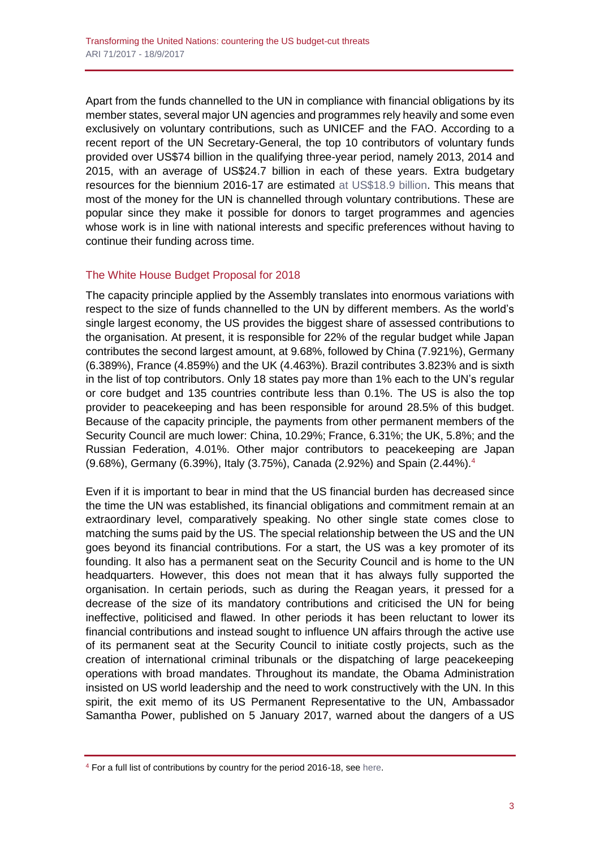Apart from the funds channelled to the UN in compliance with financial obligations by its member states, several major UN agencies and programmes rely heavily and some even exclusively on voluntary contributions, such as UNICEF and the FAO. According to a recent report of the UN Secretary-General, the top 10 contributors of voluntary funds provided over US\$74 billion in the qualifying three-year period, namely 2013, 2014 and 2015, with an average of US\$24.7 billion in each of these years. Extra budgetary resources for the biennium 2016-17 are estimated at [US\\$18.9 billion.](http://www.franceonu.org/UN-funding) This means that most of the money for the UN is channelled through voluntary contributions. These are popular since they make it possible for donors to target programmes and agencies whose work is in line with national interests and specific preferences without having to continue their funding across time.

# The White House Budget Proposal for 2018

The capacity principle applied by the Assembly translates into enormous variations with respect to the size of funds channelled to the UN by different members. As the world's single largest economy, the US provides the biggest share of assessed contributions to the organisation. At present, it is responsible for 22% of the regular budget while Japan contributes the second largest amount, at 9.68%, followed by China (7.921%), Germany (6.389%), France (4.859%) and the UK (4.463%). Brazil contributes 3.823% and is sixth in the list of top contributors. Only 18 states pay more than 1% each to the UN's regular or core budget and 135 countries contribute less than 0.1%. The US is also the top provider to peacekeeping and has been responsible for around 28.5% of this budget. Because of the capacity principle, the payments from other permanent members of the Security Council are much lower: China, 10.29%; France, 6.31%; the UK, 5.8%; and the Russian Federation, 4.01%. Other major contributors to peacekeeping are Japan (9.68%), Germany (6.39%), Italy (3.75%), Canada (2.92%) and Spain (2.44%).<sup>4</sup>

Even if it is important to bear in mind that the US financial burden has decreased since the time the UN was established, its financial obligations and commitment remain at an extraordinary level, comparatively speaking. No other single state comes close to matching the sums paid by the US. The special relationship between the US and the UN goes beyond its financial contributions. For a start, the US was a key promoter of its founding. It also has a permanent seat on the Security Council and is home to the UN headquarters. However, this does not mean that it has always fully supported the organisation. In certain periods, such as during the Reagan years, it pressed for a decrease of the size of its mandatory contributions and criticised the UN for being ineffective, politicised and flawed. In other periods it has been reluctant to lower its financial contributions and instead sought to influence UN affairs through the active use of its permanent seat at the Security Council to initiate costly projects, such as the creation of international criminal tribunals or the dispatching of large peacekeeping operations with broad mandates. Throughout its mandate, the Obama Administration insisted on US world leadership and the need to work constructively with the UN. In this spirit, the exit memo of its US Permanent Representative to the UN, Ambassador Samantha Power, published on 5 January 2017, warned about the dangers of a US

<sup>&</sup>lt;sup>4</sup> For a full list of contributions by country for the period 2016-18, see [here.](http://www.un.org/en/ga/search/view_doc.asp?symbol=A/70/331/Add.1)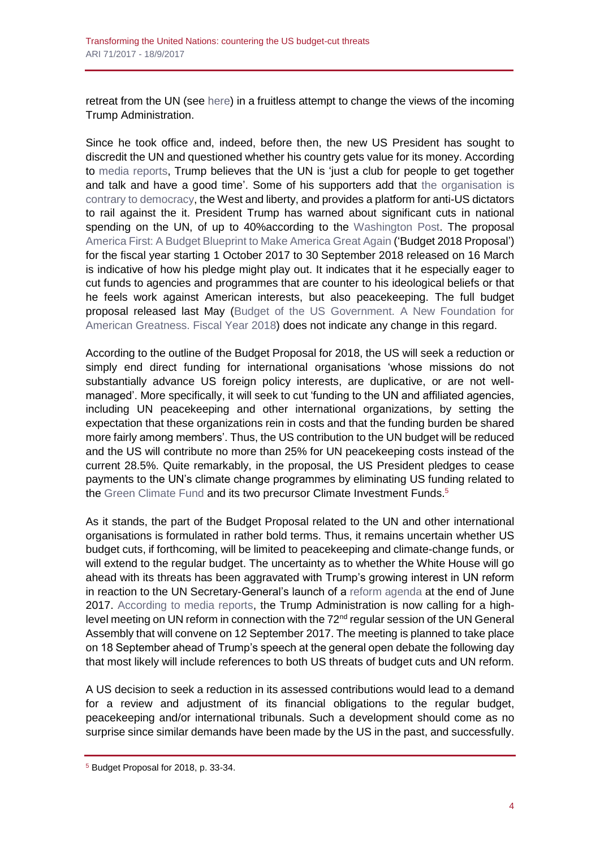retreat from the UN (see [here\)](https://geneva.usmission.gov/2017/01/05/cabinet-exit-memo-by-ambassador-samantha-power/) in a fruitless attempt to change the views of the incoming Trump Administration.

Since he took office and, indeed, before then, the new US President has sought to discredit the UN and questioned whether his country gets value for its money. According to [media reports,](https://www.washingtonpost.com/world/national-security/white-house-seeking-significant-cuts-to-us-payments-to-united-nations/2017/03/14/781b697a-08f1-11e7-a15f-a58d4a988474_story.html?utm_term=.679d1f4d39e9) Trump believes that the UN is 'just a club for people to get together and talk and have a good time'. Some of his supporters add that [the organisation is](http://www.washingtontimes.com/news/2016/dec/30/obama-may-get-us-out-un/)  [contrary to democracy,](http://www.washingtontimes.com/news/2016/dec/30/obama-may-get-us-out-un/) the West and liberty, and provides a platform for anti-US dictators to rail against the it. President Trump has warned about significant cuts in national spending on the UN, of up to 40% according to the [Washington Post.](https://www.washingtonpost.com/news/monkey-cage/wp/2017/01/31/u-s-funding-for-the-united-nations-may-not-be-as-costly-as-you-think/?utm_term=.e9b83e033120) The proposal [America First: A Budget Blueprint to Make America Great Again](https://www.whitehouse.gov/sites/whitehouse.gov/files/omb/budget/fy2018/2018_blueprint.pdf) ('Budget 2018 Proposal') for the fiscal year starting 1 October 2017 to 30 September 2018 released on 16 March is indicative of how his pledge might play out. It indicates that it he especially eager to cut funds to agencies and programmes that are counter to his ideological beliefs or that he feels work against American interests, but also peacekeeping. The full budget proposal released last May [\(Budget of the US Government. A New Foundation for](https://www.whitehouse.gov/sites/whitehouse.gov/files/omb/budget/fy2018/budget.pdf)  [American Greatness. Fiscal Year 2018\)](https://www.whitehouse.gov/sites/whitehouse.gov/files/omb/budget/fy2018/budget.pdf) does not indicate any change in this regard.

According to the outline of the Budget Proposal for 2018, the US will seek a reduction or simply end direct funding for international organisations 'whose missions do not substantially advance US foreign policy interests, are duplicative, or are not wellmanaged'. More specifically, it will seek to cut 'funding to the UN and affiliated agencies, including UN peacekeeping and other international organizations, by setting the expectation that these organizations rein in costs and that the funding burden be shared more fairly among members'. Thus, the US contribution to the UN budget will be reduced and the US will contribute no more than 25% for UN peacekeeping costs instead of the current 28.5%. Quite remarkably, in the proposal, the US President pledges to cease payments to the UN's climate change programmes by eliminating US funding related to the [Green Climate Fund](http://www.greenclimate.fund/home) and its two precursor Climate Investment Funds.<sup>5</sup>

As it stands, the part of the Budget Proposal related to the UN and other international organisations is formulated in rather bold terms. Thus, it remains uncertain whether US budget cuts, if forthcoming, will be limited to peacekeeping and climate-change funds, or will extend to the regular budget. The uncertainty as to whether the White House will go ahead with its threats has been aggravated with Trump's growing interest in UN reform in reaction to the UN Secretary-General's launch of a [reform agenda](https://www.un.org/ecosoc/sites/www.un.org.ecosoc/files/files/en/qcpr/sg-report-on-unds-qcpr-june-2017.pdf) at the end of June 2017. [According to media reports,](http://af.reuters.com/article/africaTech/idAFL2N1LI17E?feedType=RSS&feedName=egyptNews) the Trump Administration is now calling for a highlevel meeting on UN reform in connection with the 72<sup>nd</sup> regular session of the UN General Assembly that will convene on 12 September 2017. The meeting is planned to take place on 18 September ahead of Trump's speech at the general open debate the following day that most likely will include references to both US threats of budget cuts and UN reform.

A US decision to seek a reduction in its assessed contributions would lead to a demand for a review and adjustment of its financial obligations to the regular budget, peacekeeping and/or international tribunals. Such a development should come as no surprise since similar demands have been made by the US in the past, and successfully.

<sup>5</sup> Budget Proposal for 2018, p. 33-34.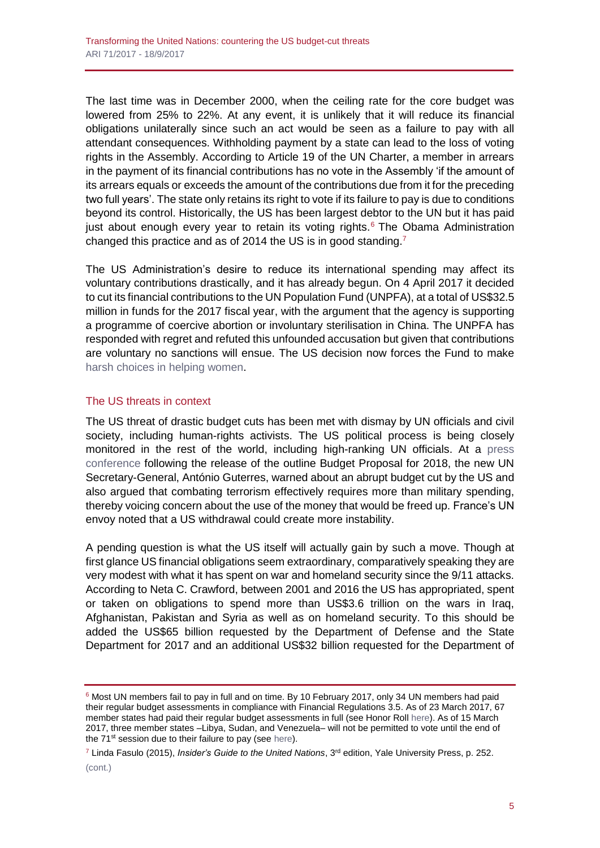The last time was in December 2000, when the ceiling rate for the core budget was lowered from 25% to 22%. At any event, it is unlikely that it will reduce its financial obligations unilaterally since such an act would be seen as a failure to pay with all attendant consequences. Withholding payment by a state can lead to the loss of voting rights in the Assembly. According to Article 19 of the UN Charter, a member in arrears in the payment of its financial contributions has no vote in the Assembly 'if the amount of its arrears equals or exceeds the amount of the contributions due from it for the preceding two full years'. The state only retains its right to vote if its failure to pay is due to conditions beyond its control. Historically, the US has been largest debtor to the UN but it has paid just about enough every year to retain its voting rights.<sup>6</sup> The Obama Administration changed this practice and as of 2014 the US is in good standing.<sup>7</sup>

The US Administration's desire to reduce its international spending may affect its voluntary contributions drastically, and it has already begun. On 4 April 2017 it decided to cut its financial contributions to the UN Population Fund (UNPFA), at a total of US\$32.5 million in funds for the 2017 fiscal year, with the argument that the agency is supporting a programme of coercive abortion or involuntary sterilisation in China. The UNPFA has responded with regret and refuted this unfounded accusation but given that contributions are voluntary no sanctions will ensue. The US decision now forces the Fund to make [harsh choices in helping women.](http://www.passblue.com/2017/08/27/with-us-funds-gone-un-population-fund-faces-brutal-choices-in-helping-women/)

# The US threats in context

The US threat of drastic budget cuts has been met with dismay by UN officials and civil society, including human-rights activists. The US political process is being closely monitored in the rest of the world, including high-ranking UN officials. At a [press](http://www.reuters.com/article/us-usa-trump-budget-un-idUSKBN16N2FT)  [conference](http://www.reuters.com/article/us-usa-trump-budget-un-idUSKBN16N2FT) following the release of the outline Budget Proposal for 2018, the new UN Secretary-General, António Guterres, warned about an abrupt budget cut by the US and also argued that combating terrorism effectively requires more than military spending, thereby voicing concern about the use of the money that would be freed up. France's UN envoy noted that a US withdrawal could create more instability.

A pending question is what the US itself will actually gain by such a move. Though at first glance US financial obligations seem extraordinary, comparatively speaking they are very modest with what it has spent on war and homeland security since the 9/11 attacks. According to Neta C. Crawford, between 2001 and 2016 the US has appropriated, spent or taken on obligations to spend more than US\$3.6 trillion on the wars in Iraq, Afghanistan, Pakistan and Syria as well as on homeland security. To this should be added the US\$65 billion requested by the Department of Defense and the State Department for 2017 and an additional US\$32 billion requested for the Department of

<sup>7</sup> Linda Fasulo (2015), *Insider's Guide to the United Nations*, 3<sup>rd</sup> edition, Yale University Press, p. 252.

<sup>&</sup>lt;sup>6</sup> Most UN members fail to pay in full and on time. By 10 February 2017, only 34 UN members had paid their regular budget assessments in compliance with Financial Regulations 3.5. As of 23 March 2017, 67 member states had paid their regular budget assessments in full (see Honor Roll [here\)](https://www.un.org/en/ga/contributions/honourroll.shtml). As of 15 March 2017, three member states –Libya, Sudan, and Venezuela– will not be permitted to vote until the end of the 71<sup>st</sup> session due to their failure to pay (see [here\)](http://www.un.org/en/ga/about/art19.shtml).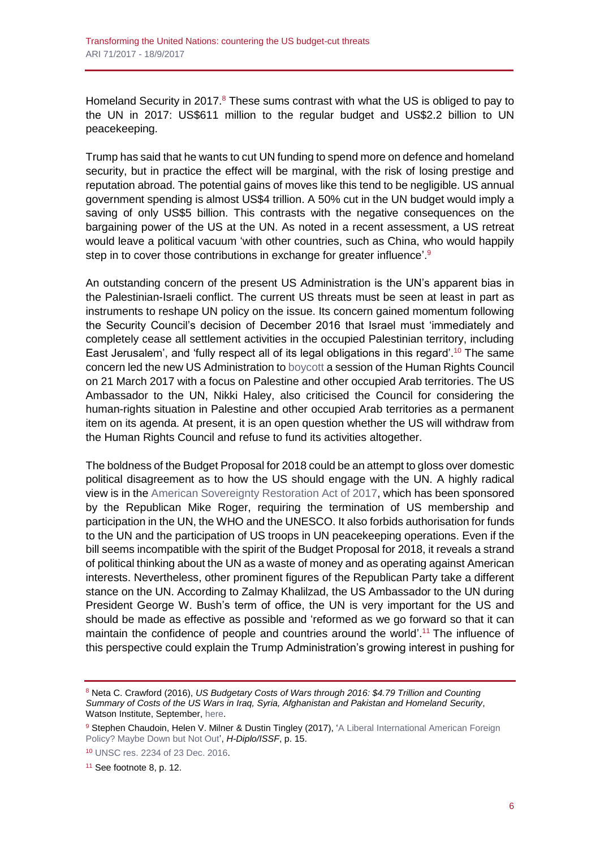Homeland Security in 2017. $8$  These sums contrast with what the US is obliged to pay to the UN in 2017: US\$611 million to the regular budget and US\$2.2 billion to UN peacekeeping.

Trump has said that he wants to cut UN funding to spend more on defence and homeland security, but in practice the effect will be marginal, with the risk of losing prestige and reputation abroad. The potential gains of moves like this tend to be negligible. US annual government spending is almost US\$4 trillion. A 50% cut in the UN budget would imply a saving of only US\$5 billion. This contrasts with the negative consequences on the bargaining power of the US at the UN. As noted in a recent assessment, a US retreat would leave a political vacuum 'with other countries, such as China, who would happily step in to cover those contributions in exchange for greater influence'.<sup>9</sup>

An outstanding concern of the present US Administration is the UN's apparent bias in the Palestinian-Israeli conflict. The current US threats must be seen at least in part as instruments to reshape UN policy on the issue. Its concern gained momentum following the Security Council's decision of December 2016 that Israel must 'immediately and completely cease all settlement activities in the occupied Palestinian territory, including East Jerusalem', and 'fully respect all of its legal obligations in this regard'.<sup>10</sup> The same concern led the new US Administration to [boycott](https://www.nytimes.com/aponline/2017/03/20/world/europe/ap-eu-united-nations-us-human-rights.html?_r=0) a session of the Human Rights Council on 21 March 2017 with a focus on Palestine and other occupied Arab territories. The US Ambassador to the UN, Nikki Haley, also criticised the Council for considering the human-rights situation in Palestine and other occupied Arab territories as a permanent item on its agenda. At present, it is an open question whether the US will withdraw from the Human Rights Council and refuse to fund its activities altogether.

The boldness of the Budget Proposal for 2018 could be an attempt to gloss over domestic political disagreement as to how the US should engage with the UN. A highly radical view is in the [American Sovereignty Restoration Act of 2017,](https://www.congress.gov/bill/115th-congress/house-bill/193/text) which has been sponsored by the Republican Mike Roger, requiring the termination of US membership and participation in the UN, the WHO and the UNESCO. It also forbids authorisation for funds to the UN and the participation of US troops in UN peacekeeping operations. Even if the bill seems incompatible with the spirit of the Budget Proposal for 2018, it reveals a strand of political thinking about the UN as a waste of money and as operating against American interests. Nevertheless, other prominent figures of the Republican Party take a different stance on the UN. According to Zalmay Khalilzad, the US Ambassador to the UN during President George W. Bush's term of office, the UN is very important for the US and should be made as effective as possible and 'reformed as we go forward so that it can maintain the confidence of people and countries around the world'.<sup>11</sup> The influence of this perspective could explain the Trump Administration's growing interest in pushing for

<sup>8</sup> Neta C. Crawford (2016), *US Budgetary Costs of Wars through 2016: \$4.79 Trillion and Counting Summary of Costs of the US Wars in Iraq, Syria, Afghanistan and Pakistan and Homeland Security*, Watson Institute, September[, here.](http://watson.brown.edu/costsofwar/files/cow/imce/papers/2016/Costs%20of%20War%20through%202016%20FINAL%20final%20v2.pdf)

<sup>9</sup> Stephen Chaudoin, Helen V. Milner & Dustin Tingley (2017), 'A Liberal International American Foreign [Policy? Maybe Down but Not Out',](http://scholar.harvard.edu/files/dtingley/files/cmt-hdiplo-2017.pdf) *H-Diplo/ISSF*, p. 15.

<sup>10</sup> [UNSC res. 2234 of 23 Dec. 2016.](http://www.un.org/webcast/pdfs/SRES2334-2016.pdf)

<sup>&</sup>lt;sup>11</sup> See footnote 8, p. 12.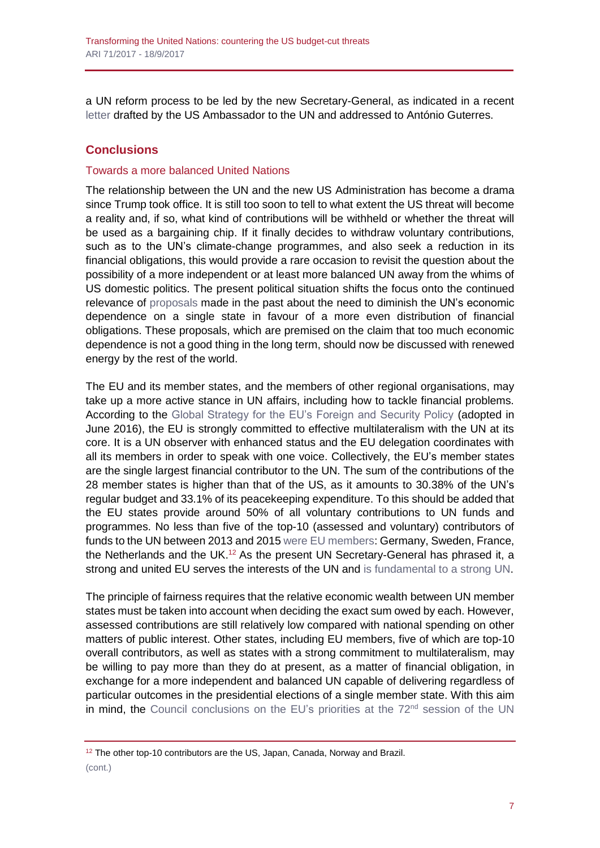a UN reform process to be led by the new Secretary-General, as indicated in a recent [letter](http://www.passblue.com/2017/07/17/us-pressures-un-chief-to-take-the-executive-reins/) drafted by the US Ambassador to the UN and addressed to António Guterres.

# **Conclusions**

#### Towards a more balanced United Nations

The relationship between the UN and the new US Administration has become a drama since Trump took office. It is still too soon to tell to what extent the US threat will become a reality and, if so, what kind of contributions will be withheld or whether the threat will be used as a bargaining chip. If it finally decides to withdraw voluntary contributions, such as to the UN's climate-change programmes, and also seek a reduction in its financial obligations, this would provide a rare occasion to revisit the question about the possibility of a more independent or at least more balanced UN away from the whims of US domestic politics. The present political situation shifts the focus onto the continued relevance of [proposals](http://www.ipsnews.net/2017/03/responding-to-us-budget-cuts-for-united-nations/) made in the past about the need to diminish the UN's economic dependence on a single state in favour of a more even distribution of financial obligations. These proposals, which are premised on the claim that too much economic dependence is not a good thing in the long term, should now be discussed with renewed energy by the rest of the world.

The EU and its member states, and the members of other regional organisations, may take up a more active stance in UN affairs, including how to tackle financial problems. According to the [Global Strategy for the EU's Foreign and Security Policy](http://eu-un.europa.eu/wp-content/uploads/2016/10/EU-Global-Strategy.pdf) (adopted in June 2016), the EU is strongly committed to effective multilateralism with the UN at its core. It is a UN observer with enhanced status and the EU delegation coordinates with all its members in order to speak with one voice. Collectively, the EU's member states are the single largest financial contributor to the UN. The sum of the contributions of the 28 member states is higher than that of the US, as it amounts to 30.38% of the UN's regular budget and 33.1% of its peacekeeping expenditure. To this should be added that the EU states provide around 50% of all voluntary contributions to UN funds and programmes. No less than five of the top-10 (assessed and voluntary) contributors of funds to the UN between 2013 and 2015 were [EU members:](http://www.un.org/pga/71/wp-content/uploads/sites/40/2015/08/Top-ten-providers-of-assessed-contributions-to-United-Nations-budget-and-of-voluntary-contributions-to-the-United-Nations-funds-programmes-and-agencies_3-Nov.pdf) Germany, Sweden, France, the Netherlands and the UK.<sup>12</sup> As the present UN Secretary-General has phrased it, a strong and united EU serves the interests of the UN and is fundamental to a strong UN.

The principle of fairness requires that the relative economic wealth between UN member states must be taken into account when deciding the exact sum owed by each. However, assessed contributions are still relatively low compared with national spending on other matters of public interest. Other states, including EU members, five of which are top-10 overall contributors, as well as states with a strong commitment to multilateralism, may be willing to pay more than they do at present, as a matter of financial obligation, in exchange for a more independent and balanced UN capable of delivering regardless of particular outcomes in the presidential elections of a single member state. With this aim in mind, the [Council conclusions on the EU's](http://www.consilium.europa.eu/en/press/press-releases/2017/07/17-eu-priorities-un/) priorities at the 72<sup>nd</sup> session of the UN

<sup>&</sup>lt;sup>12</sup> The other top-10 contributors are the US, Japan, Canada, Norway and Brazil.